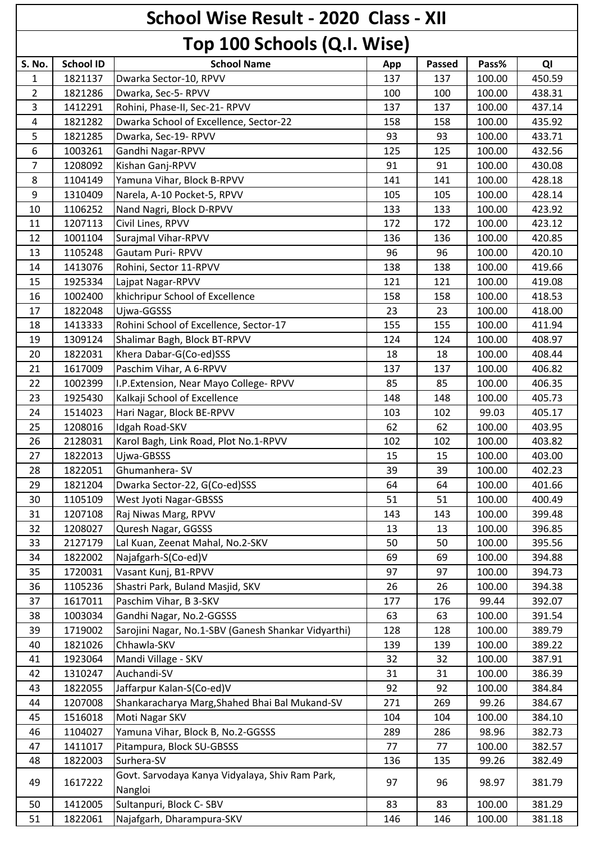## **School Wise Result - 2020 Class - XII Top 100 Schools (Q.I. Wise)**

|                |                  | ן פון דעט איוועטן נעיוי וואס בין                           |     |               |        |        |
|----------------|------------------|------------------------------------------------------------|-----|---------------|--------|--------|
| S. No.         | <b>School ID</b> | <b>School Name</b>                                         | App | <b>Passed</b> | Pass%  | QI     |
| 1              | 1821137          | Dwarka Sector-10, RPVV                                     | 137 | 137           | 100.00 | 450.59 |
| 2              | 1821286          | Dwarka, Sec-5- RPVV                                        | 100 | 100           | 100.00 | 438.31 |
| $\overline{3}$ | 1412291          | Rohini, Phase-II, Sec-21- RPVV                             | 137 | 137           | 100.00 | 437.14 |
| $\overline{4}$ | 1821282          | Dwarka School of Excellence, Sector-22                     | 158 | 158           | 100.00 | 435.92 |
| 5              | 1821285          | Dwarka, Sec-19-RPVV                                        | 93  | 93            | 100.00 | 433.71 |
| 6              | 1003261          | Gandhi Nagar-RPVV                                          | 125 | 125           | 100.00 | 432.56 |
| 7              | 1208092          | Kishan Ganj-RPVV                                           | 91  | 91            | 100.00 | 430.08 |
| 8              | 1104149          | Yamuna Vihar, Block B-RPVV                                 | 141 | 141           | 100.00 | 428.18 |
| 9              | 1310409          | Narela, A-10 Pocket-5, RPVV                                | 105 | 105           | 100.00 | 428.14 |
| 10             | 1106252          | Nand Nagri, Block D-RPVV                                   | 133 | 133           | 100.00 | 423.92 |
| 11             | 1207113          | Civil Lines, RPVV                                          | 172 | 172           | 100.00 | 423.12 |
| 12             | 1001104          | Surajmal Vihar-RPVV                                        | 136 | 136           | 100.00 | 420.85 |
| 13             | 1105248          | <b>Gautam Puri- RPVV</b>                                   | 96  | 96            | 100.00 | 420.10 |
| 14             | 1413076          | Rohini, Sector 11-RPVV                                     | 138 | 138           | 100.00 | 419.66 |
| 15             | 1925334          | Lajpat Nagar-RPVV                                          | 121 | 121           | 100.00 | 419.08 |
| 16             | 1002400          | khichripur School of Excellence                            | 158 | 158           | 100.00 | 418.53 |
| 17             | 1822048          | Ujwa-GGSSS                                                 | 23  | 23            | 100.00 | 418.00 |
| 18             | 1413333          | Rohini School of Excellence, Sector-17                     | 155 | 155           | 100.00 | 411.94 |
| 19             | 1309124          | Shalimar Bagh, Block BT-RPVV                               | 124 | 124           | 100.00 | 408.97 |
| 20             | 1822031          | Khera Dabar-G(Co-ed)SSS                                    | 18  | 18            | 100.00 | 408.44 |
| 21             | 1617009          | Paschim Vihar, A 6-RPVV                                    | 137 | 137           | 100.00 | 406.82 |
| 22             | 1002399          | I.P. Extension, Near Mayo College-RPVV                     | 85  | 85            | 100.00 | 406.35 |
| 23             | 1925430          | Kalkaji School of Excellence                               | 148 | 148           | 100.00 | 405.73 |
| 24             | 1514023          | Hari Nagar, Block BE-RPVV                                  | 103 | 102           | 99.03  | 405.17 |
| 25             | 1208016          | Idgah Road-SKV                                             | 62  | 62            | 100.00 | 403.95 |
| 26             | 2128031          | Karol Bagh, Link Road, Plot No.1-RPVV                      | 102 | 102           | 100.00 | 403.82 |
| 27             | 1822013          | Ujwa-GBSSS                                                 | 15  | 15            | 100.00 | 403.00 |
| 28             | 1822051          | Ghumanhera-SV                                              | 39  | 39            | 100.00 | 402.23 |
| 29             | 1821204          | Dwarka Sector-22, G(Co-ed)SSS                              | 64  | 64            | 100.00 | 401.66 |
| 30             | 1105109          | West Jyoti Nagar-GBSSS                                     | 51  | 51            | 100.00 | 400.49 |
| 31             | 1207108          | Raj Niwas Marg, RPVV                                       | 143 | 143           | 100.00 | 399.48 |
| 32             | 1208027          | Quresh Nagar, GGSSS                                        | 13  | 13            | 100.00 | 396.85 |
| 33             | 2127179          | Lal Kuan, Zeenat Mahal, No.2-SKV                           | 50  | 50            | 100.00 | 395.56 |
| 34             | 1822002          | Najafgarh-S(Co-ed)V                                        | 69  | 69            | 100.00 | 394.88 |
| 35             | 1720031          | Vasant Kunj, B1-RPVV                                       | 97  | 97            | 100.00 | 394.73 |
| 36             | 1105236          | Shastri Park, Buland Masjid, SKV                           | 26  | 26            | 100.00 | 394.38 |
| 37             | 1617011          | Paschim Vihar, B 3-SKV                                     | 177 | 176           | 99.44  | 392.07 |
| 38             | 1003034          | Gandhi Nagar, No.2-GGSSS                                   | 63  | 63            | 100.00 | 391.54 |
| 39             | 1719002          | Sarojini Nagar, No.1-SBV (Ganesh Shankar Vidyarthi)        | 128 | 128           | 100.00 | 389.79 |
| 40             | 1821026          | Chhawla-SKV                                                | 139 | 139           | 100.00 | 389.22 |
| 41             | 1923064          | Mandi Village - SKV                                        | 32  |               | 100.00 | 387.91 |
| 42             |                  | Auchandi-SV                                                | 31  | 32            |        |        |
|                | 1310247          |                                                            |     | 31            | 100.00 | 386.39 |
| 43             | 1822055          | Jaffarpur Kalan-S(Co-ed)V                                  | 92  | 92            | 100.00 | 384.84 |
| 44             | 1207008          | Shankaracharya Marg, Shahed Bhai Bal Mukand-SV             | 271 | 269           | 99.26  | 384.67 |
| 45             | 1516018          | Moti Nagar SKV                                             | 104 | 104           | 100.00 | 384.10 |
| 46             | 1104027          | Yamuna Vihar, Block B, No.2-GGSSS                          | 289 | 286           | 98.96  | 382.73 |
| 47             | 1411017          | Pitampura, Block SU-GBSSS                                  | 77  | 77            | 100.00 | 382.57 |
| 48             | 1822003          | Surhera-SV                                                 | 136 | 135           | 99.26  | 382.49 |
| 49             | 1617222          | Govt. Sarvodaya Kanya Vidyalaya, Shiv Ram Park,<br>Nangloi | 97  | 96            | 98.97  | 381.79 |
| 50             | 1412005          | Sultanpuri, Block C-SBV                                    | 83  | 83            | 100.00 | 381.29 |
| 51             | 1822061          | Najafgarh, Dharampura-SKV                                  | 146 | 146           | 100.00 | 381.18 |